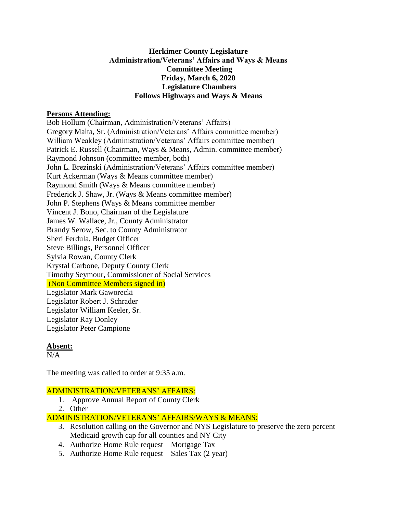## **Herkimer County Legislature Administration/Veterans' Affairs and Ways & Means Committee Meeting Friday, March 6, 2020 Legislature Chambers Follows Highways and Ways & Means**

### **Persons Attending:**

Bob Hollum (Chairman, Administration/Veterans' Affairs) Gregory Malta, Sr. (Administration/Veterans' Affairs committee member) William Weakley (Administration/Veterans' Affairs committee member) Patrick E. Russell (Chairman, Ways & Means, Admin. committee member) Raymond Johnson (committee member, both) John L. Brezinski (Administration/Veterans' Affairs committee member) Kurt Ackerman (Ways & Means committee member) Raymond Smith (Ways & Means committee member) Frederick J. Shaw, Jr. (Ways & Means committee member) John P. Stephens (Ways & Means committee member Vincent J. Bono, Chairman of the Legislature James W. Wallace, Jr., County Administrator Brandy Serow, Sec. to County Administrator Sheri Ferdula, Budget Officer Steve Billings, Personnel Officer Sylvia Rowan, County Clerk Krystal Carbone, Deputy County Clerk Timothy Seymour, Commissioner of Social Services (Non Committee Members signed in) Legislator Mark Gaworecki Legislator Robert J. Schrader Legislator William Keeler, Sr. Legislator Ray Donley Legislator Peter Campione

## **Absent:**

 $N/A$ 

The meeting was called to order at 9:35 a.m.

## ADMINISTRATION/VETERANS' AFFAIRS:

- 1. Approve Annual Report of County Clerk
- 2. Other

# ADMINISTRATION/VETERANS' AFFAIRS/WAYS & MEANS:

- 3. Resolution calling on the Governor and NYS Legislature to preserve the zero percent Medicaid growth cap for all counties and NY City
- 4. Authorize Home Rule request Mortgage Tax
- 5. Authorize Home Rule request Sales Tax (2 year)